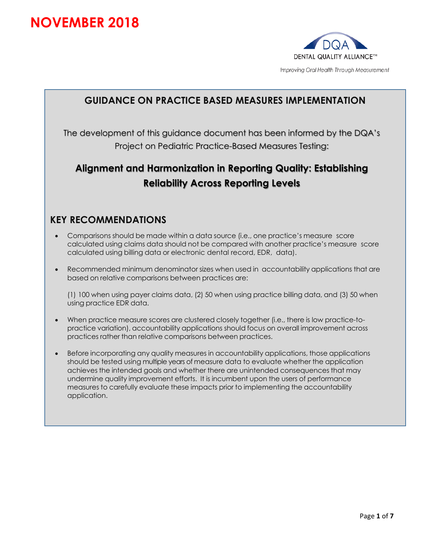# **NOVEMBER 2018**



## **GUIDANCE ON PRACTICE BASED MEASURES IMPLEMENTATION**

The development of this guidance document has been informed by the DQA's Project on Pediatric Practice-Based Measures Testing:

## **Alignment and Harmonization in Reporting Quality: Establishing Reliability Across Reporting Levels**

#### **KEY RECOMMENDATIONS**

- Comparisons should be made within a data source (i.e., one practice's measure score calculated using claims data should not be compared with another practice's measure score calculated using billing data or electronic dental record, EDR, data).
- Recommended minimum denominator sizes when used in accountability applications that are based on relative comparisons between practices are:

(1) 100 when using payer claims data, (2) 50 when using practice billing data, and (3) 50 when using practice EDR data.

- When practice measure scores are clustered closely together (i.e., there is low practice-topractice variation), accountability applications should focus on overall improvement across practices rather than relative comparisons between practices.
- Before incorporating any quality measures in accountability applications, those applications should be tested using multiple years of measure data to evaluate whether the application achieves the intended goals and whether there are unintended consequences that may undermine quality improvement efforts. It is incumbent upon the users of performance measures to carefully evaluate these impacts prior to implementing the accountability application.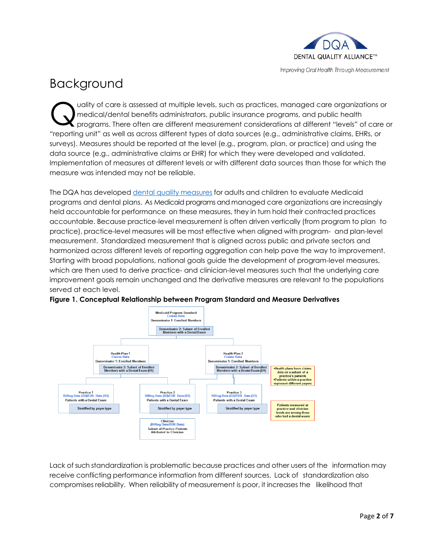

# Background

uality of care is assessed at multiple levels, such as practices, managed care organizations or medical/dental benefits administrators, public insurance programs, and public health programs. There often are different measurement considerations at different "levels" of care or "reporting unit" as well as across different types of data sources (e.g., administrative claims, EHRs, or surveys). Measures should be reported at the level (e.g., program, plan, or practice) and using the data source (e.g., administrative claims or EHR) for which they were developed and validated. Implementation of measures at different levels or with different data sources than those for which the measure was intended may not be reliable. Q

The DQA has developed [dental quality](https://www.ada.org/en/science-research/dental-quality-alliance/dqa-measure-activities/measures-medicaid-and-dental-plan-assessments) measures for adults and children to evaluate Medicaid programs and dental plans. As Medicaid programs and managed care organizations are increasingly held accountable for performance on these measures, they in turn hold their contracted practices accountable. Because practice-level measurement is often driven vertically (from program to plan to practice), practice-level measures will be most effective when aligned with program- and plan-level measurement. Standardized measurement that is aligned across public and private sectors and harmonized across different levels of reporting aggregation can help pave the way to improvement. Starting with broad populations, national goals guide the development of program-level measures, which are then used to derive practice- and clinician-level measures such that the underlying care improvement goals remain unchanged and the derivative measures are relevant to the populations served at each level.





Lack of such standardization is problematic because practices and other users of the information may receive conflicting performance information from different sources. Lack of standardization also compromises reliability. When reliability of measurement is poor, it increases the likelihood that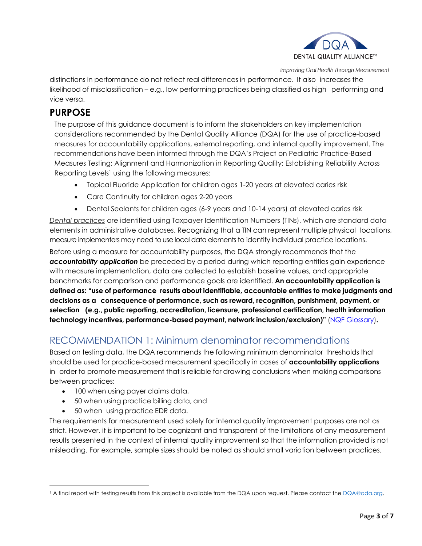

distinctions in performance do not reflect real differences in performance. It also increases the likelihood of misclassification – e.g., low performing practices being classified as high performing and vice versa.

#### **PURPOSE**

The purpose of this guidance document is to inform the stakeholders on key implementation considerations recommended by the Dental Quality Alliance (DQA) for the use of practice-based measures for accountability applications, external reporting, and internal quality improvement. The recommendations have been informed through the DQA's Project on Pediatric Practice-Based Measures Testing: Alignment and Harmonization in Reporting Quality: Establishing Reliability Across Reporting Levels<sup>1</sup> using the following measures:

- Topical Fluoride Application for children ages 1-20 years at elevated caries risk
- Care Continuity for children ages 2-20 years
- Dental Sealants for children ages (6-9 years and 10-14 years) at elevated caries risk

*Dental practices* are identified using Taxpayer Identification Numbers (TINs), which are standard data elements in administrative databases. Recognizing that a TIN can represent multiple physical locations, measure implementers may need to use local data elementsto identify individual practice locations.

Before using a measure for accountability purposes, the DQA strongly recommends that the *accountability application* be preceded by a period during which reporting entities gain experience with measure implementation, data are collected to establish baseline values, and appropriate benchmarks for comparison and performance goals are identified. **An accountability application is defined as: "use of performance results about identifiable, accountable entities to make judgments and decisions as a consequence of performance, such as reward, recognition, punishment, payment, or selection (e.g., public reporting, accreditation, licensure, professional certification, health information technology incentives, performance-based payment, network inclusion/exclusion)"** [\(NQF](http://www.qualityforum.org/WorkArea/linkit.aspx?LinkIdentifier=id&ItemID=73681) [Glossary\)](http://www.qualityforum.org/WorkArea/linkit.aspx?LinkIdentifier=id&ItemID=73681)**.** 

## RECOMMENDATION 1: Minimum denominator recommendations

Based on testing data, the DQA recommends the following minimum denominator thresholds that should be used for practice-based measurement specifically in cases of **accountability applications** in order to promote measurement that is reliable for drawing conclusions when making comparisons between practices:

- 100 when using payer claims data,
- 50 when using practice billing data, and
- 50 when using practice EDR data.

The requirements for measurement used solely for internal quality improvement purposes are not as strict. However, it is important to be cognizant and transparent of the limitations of any measurement results presented in the context of internal quality improvement so that the information provided is not misleading. For example, sample sizes should be noted as should small variation between practices.

 $\overline{\phantom{a}}$ <sup>1</sup> A final report with testing results from this project is available from the DQA upon request. Please contact the DQA@ada.org.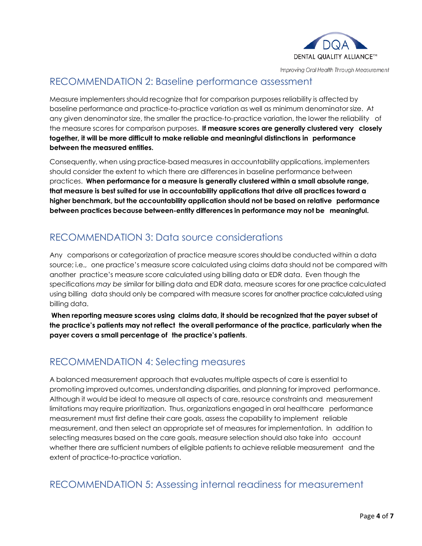

#### RECOMMENDATION 2: Baseline performance assessment

Measure implementers should recognize that for comparison purposes reliability is affected by baseline performance and practice-to-practice variation as well as minimum denominator size. At any given denominator size, the smaller the practice-to-practice variation, the lower the reliability of the measure scores for comparison purposes. **If measure scores are generally clustered very closely together, it will be more difficult to make reliable and meaningful distinctions in performance between the measured entities.**

Consequently, when using practice-based measures in accountability applications, implementers should consider the extent to which there are differences in baseline performance between practices. **When performance for a measure is generally clustered within a small absolute range, that measure is best suited for use in accountability applications that drive all practices toward a higher benchmark, but the accountability application should not be based on relative performance between practices because between-entity differences in performance may not be meaningful.**

## RECOMMENDATION 3: Data source considerations

Any comparisons or categorization of practice measure scores should be conducted within a data source; i.e., one practice's measure score calculated using claims data should not be compared with another practice's measure score calculated using billing data or EDR data. Even though the specifications *may be* similar for billing data and EDR data, measure scores for one practice calculated using billing data should only be compared with measure scores for another practice calculated using billing data.

**When reporting measure scores using claims data, it should be recognized that the payer subset of the practice's patients may not reflect the overall performance of the practice, particularly when the payer covers a small percentage of the practice's patients**.

#### RECOMMENDATION 4: Selecting measures

A balanced measurement approach that evaluates multiple aspects of care is essential to promoting improved outcomes, understanding disparities, and planning for improved performance. Although it would be ideal to measure all aspects of care, resource constraints and measurement limitations may require prioritization. Thus, organizations engaged in oral healthcare performance measurement must first define their care goals, assess the capability to implement reliable measurement, and then select an appropriate set of measures for implementation. In addition to selecting measures based on the care goals, measure selection should also take into account whether there are sufficient numbers of eligible patients to achieve reliable measurement and the extent of practice-to-practice variation.

#### RECOMMENDATION 5: Assessing internal readiness for measurement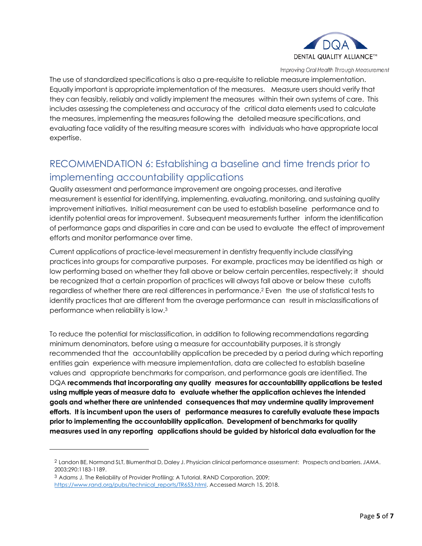

The use of standardized specifications is also a pre-requisite to reliable measure implementation. Equally important is appropriate implementation of the measures. Measure users should verify that they can feasibly, reliably and validly implement the measures within their own systems of care. This includes assessing the completeness and accuracy of the critical data elements used to calculate the measures, implementing the measures following the detailed measure specifications, and evaluating face validity of the resulting measure scores with individuals who have appropriate local expertise.

## RECOMMENDATION 6: Establishing a baseline and time trends prior to implementing accountability applications

Quality assessment and performance improvement are ongoing processes, and iterative measurement is essential for identifying, implementing, evaluating, monitoring, and sustaining quality improvement initiatives. Initial measurement can be used to establish baseline performance and to identify potential areas for improvement. Subsequent measurements further inform the identification of performance gaps and disparities in care and can be used to evaluate the effect of improvement efforts and monitor performance over time.

Current applications of practice-level measurement in dentistry frequently include classifying practices into groups for comparative purposes. For example, practices may be identified as high or low performing based on whether they fall above or below certain percentiles, respectively; it should be recognized that a certain proportion of practices will always fall above or below these cutoffs regardless of whether there are real differences in performance. <sup>2</sup> Even the use of statistical tests to identify practices that are different from the average performance can result in misclassifications of performance when reliability is low. 3

To reduce the potential for misclassification, in addition to following recommendations regarding minimum denominators, before using a measure for accountability purposes, it is strongly recommended that the accountability application be preceded by a period during which reporting entities gain experience with measure implementation, data are collected to establish baseline values and appropriate benchmarks for comparison, and performance goals are identified. The DQA **recommends that incorporating any quality measures for accountability applications be tested using multiple years of measure data to evaluate whether the application achieves the intended goals and whether there are unintended consequences that may undermine quality improvement efforts. It is incumbent upon the users of performance measures to carefully evaluate these impacts prior to implementing the accountability application. Development of benchmarks for quality measures used in any reporting applications should be guided by historical data evaluation for the**

l

<sup>2</sup> Landon BE, Normand SLT, Blumenthal D, Daley J. Physician clinical performance assessment: Prospects and barriers. *JAMA*. 2003;290:1183-1189.

<sup>3</sup> Adams J. The Reliability of Provider Profiling: A Tutorial. RAND Corporation. 2009; [https://www.rand.org/pubs/technical\\_reports/TR653.html.](https://www.rand.org/pubs/technical_reports/TR653.html) Accessed March 15, 2018.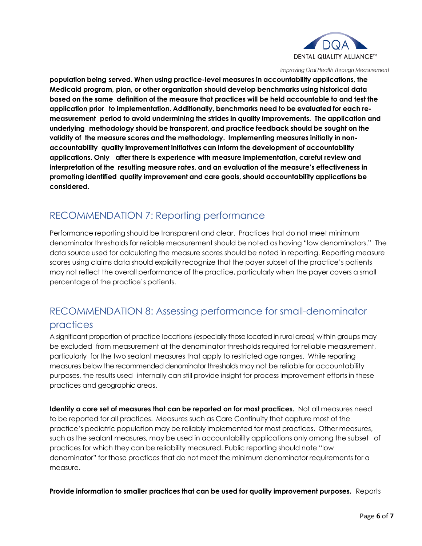

**population being served. When using practice-level measures in accountability applications, the Medicaid program, plan, or other organization should develop benchmarks using historical data** based on the same definition of the measure that practices will be held accountable to and test the **application prior to implementation. Additionally, benchmarks need to be evaluated for each remeasurement period to avoid undermining the strides in quality improvements. The application and underlying methodology should be transparent, and practice feedback should be sought on the validity of the measure scores and the methodology. Implementing measures initially in nonaccountability quality improvement initiatives can inform the development of accountability applications. Only after there is experience with measure implementation, careful review and interpretation of the resulting measure rates, and an evaluation of the measure's effectiveness in promoting identified quality improvement and care goals, should accountability applications be considered.**

## RECOMMENDATION 7: Reporting performance

Performance reporting should be transparent and clear. Practices that do not meet minimum denominator thresholds for reliable measurement should be noted as having "low denominators." The data source used for calculating the measure scores should be noted in reporting. Reporting measure scores using claims data should explicitly recognize that the payer subset of the practice's patients may not reflect the overall performance of the practice, particularly when the payer covers a small percentage of the practice's patients.

## RECOMMENDATION 8: Assessing performance for small-denominator practices

A significant proportion of practice locations (especially those located in rural areas) within groups may be excluded from measurement at the denominator thresholds required for reliable measurement, particularly for the two sealant measures that apply to restricted age ranges. While reporting measures below the recommended denominator thresholds may not be reliable for accountability purposes, the results used internally can still provide insight for process improvement efforts in these practices and geographic areas.

**Identify a core set of measures that can be reported on for most practices.** Not all measures need to be reported for all practices. Measures such as Care Continuity that capture most of the practice's pediatric population may be reliably implemented for most practices. Other measures, such as the sealant measures, may be used in accountability applications only among the subset of practices for which they can be reliability measured. Public reporting should note "low denominator" for those practices that do not meet the minimum denominator requirements for a measure.

**Provide information to smaller practices that can be used for quality improvement purposes.** Reports